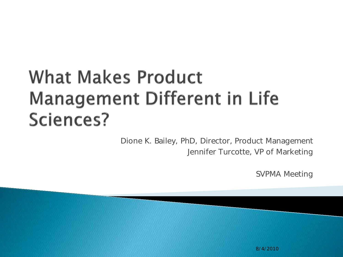#### **What Makes Product Management Different in Life** Sciences?

Dione K. Bailey, PhD, Director, Product Management Jennifer Turcotte, VP of Marketing

SVPMA Meeting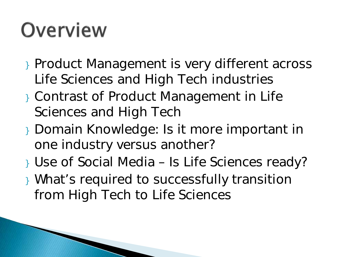## Overview

- } Product Management is very different across Life Sciences and High Tech industries
- } Contrast of Product Management in Life Sciences and High Tech
- } Domain Knowledge: Is it more important in one industry versus another?
- } Use of Social Media Is Life Sciences ready?
- } What's required to successfully transition from High Tech to Life Sciences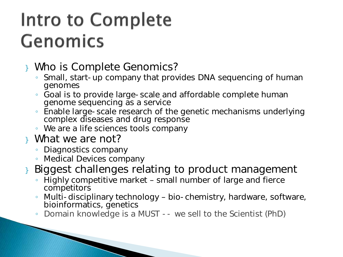#### Intro to Complete **Genomics**

#### } Who is Complete Genomics?

- Small, start-up company that provides DNA sequencing of human genomes
- Goal is to provide large-scale and affordable complete human genome sequencing as a service
- Enable large-scale research of the genetic mechanisms underlying complex diseases and drug response
- We are a life sciences tools company
- } What we are not?
	- Diagnostics company

- Medical Devices company
- } Biggest challenges relating to product management
	- Highly competitive market small number of large and fierce competitors
	- Multi-disciplinary technology bio-chemistry, hardware, software, bioinformatics, genetics
	- Domain knowledge is a MUST -- we sell to the Scientist (PhD)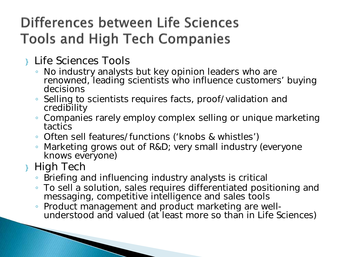#### Differences between Life Sciences **Tools and High Tech Companies**

} Life Sciences Tools

- No industry analysts but key opinion leaders who are renowned, leading scientists who influence customers' buying decisions
- Selling to scientists requires facts, proof/validation and credibility
- Companies rarely employ complex selling or unique marketing tactics
- Often sell features/functions ('knobs & whistles')
- Marketing grows out of R&D; very small industry (everyone knows everyone)

#### } High Tech

- Briefing and influencing industry analysts is critical
- To sell a solution, sales requires differentiated positioning and messaging, competitive intelligence and sales tools
- Product management and product marketing are well- understood and valued (at least more so than in Life Sciences)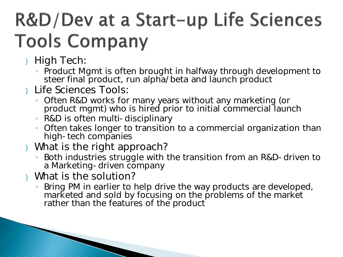### R&D/Dev at a Start-up Life Sciences **Tools Company**

- } High Tech:
	- Product Mgmt is often brought in halfway through development to steer final product, run alpha/beta and launch product
- } Life Sciences Tools:
	- Often R&D works for many years without any marketing (or product mgmt) who is hired prior to initial commercial launch
	- R&D is often multi-disciplinary
	- Often takes longer to transition to a commercial organization than high-tech companies
- } What is the right approach?
	- Both industries struggle with the transition from an R&D-driven to a Marketing-driven company
- } What is the solution?

◦ Bring PM in earlier to help drive the way products are developed, marketed and sold by focusing on the problems of the market rather than the features of the product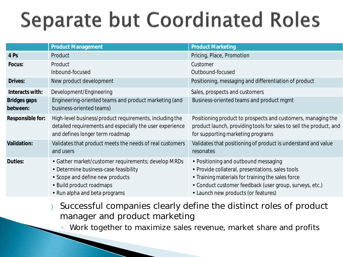## **Separate but Coordinated Roles**

|                                 | <b>Product Management</b>                                                                                                                                                                    | <b>Product Marketing</b>                                                                                                                                                                                                                      |
|---------------------------------|----------------------------------------------------------------------------------------------------------------------------------------------------------------------------------------------|-----------------------------------------------------------------------------------------------------------------------------------------------------------------------------------------------------------------------------------------------|
| 4 Ps                            | Product                                                                                                                                                                                      | Pricing, Place, Promotion                                                                                                                                                                                                                     |
| Focus:                          | Product                                                                                                                                                                                      | Customer                                                                                                                                                                                                                                      |
|                                 | Inbound-focused                                                                                                                                                                              | Outbound-focused                                                                                                                                                                                                                              |
| Drives:                         | New product development                                                                                                                                                                      | Positioning, messaging and differentiation of product                                                                                                                                                                                         |
| Interacts with:                 | Development/Engineering                                                                                                                                                                      | Sales, prospects and customers                                                                                                                                                                                                                |
| <b>Bridges gaps</b><br>between: | Engineering-oriented teams and product marketing (and<br>business-oriented teams)                                                                                                            | Business-oriented teams and product mgmt                                                                                                                                                                                                      |
| Responsible for:                | High-level business/product requirements, including the<br>detailed requirements and especially the user experience<br>and defines longer term roadmap                                       | Positioning product to prospects and customers, managing the<br>product launch, providing tools for sales to sell the product, and<br>for supporting marketing programs                                                                       |
| <b>Validation:</b>              | Validates that product meets the needs of real customers<br>and users                                                                                                                        | Validates that positioning of product is understand and value<br>resonates                                                                                                                                                                    |
| Duties:                         | · Gather market/customer requirements; develop MRDs<br>· Determine business-case feasibility<br>· Scope and define new products<br>- Build product roadmaps<br>· Run alpha and beta programs | • Positioning and outbound messaging<br>· Provide collateral, presentations, sales tools<br>· Training materials for training the sales force<br>Conduct customer feedback (user group, surveys, etc.)<br>- Launch new products (or features) |

Successful companies clearly define the distinct roles of product manager and product marketing

◦ Work together to maximize sales revenue, market share and profits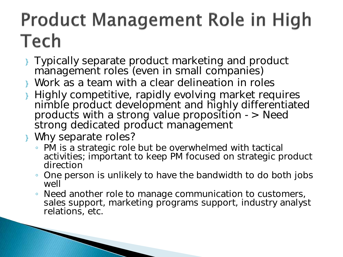### **Product Management Role in High** Tech

- } Typically separate product marketing and product management roles (even in small companies)
- } Work as a team with a clear delineation in roles
- } Highly competitive, rapidly evolving market requires nimble product development and highly differentiated products with a strong value proposition -> Need strong dedicated product management
- } Why separate roles?

- PM is a strategic role but be overwhelmed with tactical activities; important to keep PM focused on strategic product direction
- One person is unlikely to have the bandwidth to do both jobs well
- Need another role to manage communication to customers, sales support, marketing programs support, industry analyst relations, etc.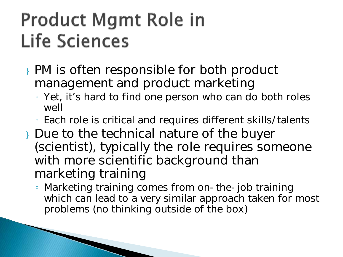#### **Product Mgmt Role in Life Sciences**

- } PM is often responsible for both product management and product marketing
	- Yet, it's hard to find one person who can do both roles well
	- Each role is critical and requires different skills/talents
- } Due to the technical nature of the buyer (scientist), typically the role requires someone with more scientific background than marketing training
	- Marketing training comes from on-the-job training which can lead to a very similar approach taken for most problems (no thinking outside of the box)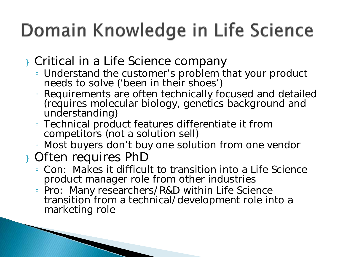### Domain Knowledge in Life Science

} Critical in a Life Science company

- Understand the customer's problem that your product needs to solve ('been in their shoes')
- Requirements are often technically focused and detailed (requires molecular biology, genetics background and understanding)
- Technical product features differentiate it from competitors (not a solution sell)
- Most buyers don't buy one solution from one vendor

#### } Often requires PhD

- Con: Makes it difficult to transition into a Life Science product manager role from other industries
- Pro: Many researchers/R&D within Life Science transition from a technical/development role into a marketing role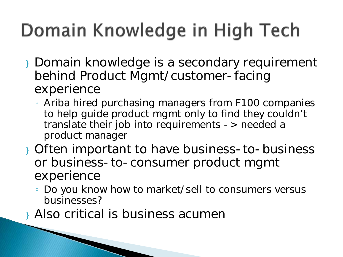## Domain Knowledge in High Tech

- } Domain knowledge is a secondary requirement behind Product Mgmt/customer-facing experience
	- Ariba hired purchasing managers from F100 companies to help guide product mgmt only to find they couldn't translate their job into requirements -> needed a product manager
- } Often important to have business-to-business or business-to-consumer product mgmt experience
	- Do you know how to market/sell to consumers versus businesses?
- } Also critical is business acumen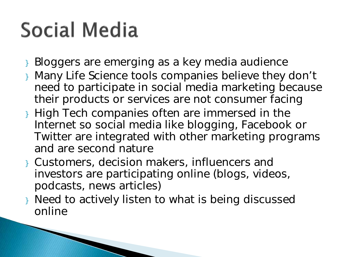## Social Media

- } Bloggers are emerging as a key media audience
- } Many Life Science tools companies believe they don't need to participate in social media marketing because their products or services are not consumer facing
- } High Tech companies often are immersed in the Internet so social media like blogging, Facebook or Twitter are integrated with other marketing programs and are second nature
- } Customers, decision makers, influencers and investors are participating online (blogs, videos, podcasts, news articles)
- } Need to actively listen to what is being discussed online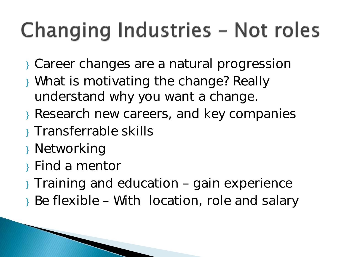## Changing Industries - Not roles

- } Career changes are a natural progression
- } What is motivating the change? Really understand why you want a change.
- } Research new careers, and key companies
- } Transferrable skills
- } Networking
- } Find a mentor
- } Training and education gain experience
- } Be flexible With location, role and salary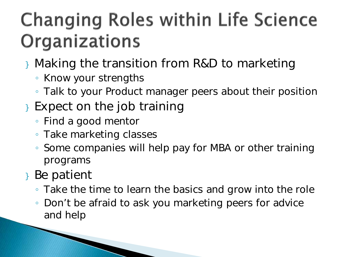### **Changing Roles within Life Science** Organizations

- } Making the transition from R&D to marketing
	- Know your strengths
	- Talk to your Product manager peers about their position
- } Expect on the job training
	- Find a good mentor

- Take marketing classes
- Some companies will help pay for MBA or other training programs
- } Be patient
	- Take the time to learn the basics and grow into the role
	- Don't be afraid to ask you marketing peers for advice and help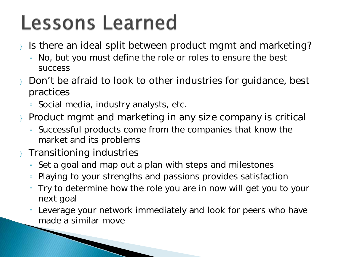### **Lessons Learned**

- } Is there an ideal split between product mgmt and marketing?
	- No, but you must define the role or roles to ensure the best success
- } Don't be afraid to look to other industries for guidance, best practices
	- Social media, industry analysts, etc.
- Product mgmt and marketing in any size company is critical
	- Successful products come from the companies that know the market and its problems
- } Transitioning industries

- Set a goal and map out a plan with steps and milestones
- Playing to your strengths and passions provides satisfaction
- Try to determine how the role you are in now will get you to your next goal
- Leverage your network immediately and look for peers who have made a similar move